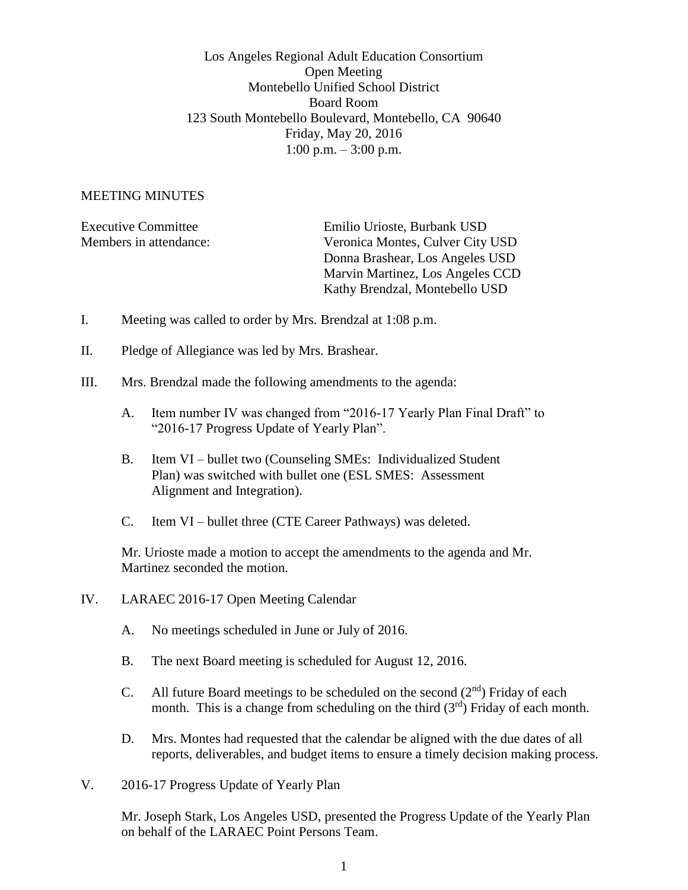Los Angeles Regional Adult Education Consortium Open Meeting Montebello Unified School District Board Room 123 South Montebello Boulevard, Montebello, CA 90640 Friday, May 20, 2016 1:00 p.m.  $-3:00$  p.m.

## MEETING MINUTES

| Emilio Urioste, Burbank USD      |
|----------------------------------|
| Veronica Montes, Culver City USD |
| Donna Brashear, Los Angeles USD  |
| Marvin Martinez, Los Angeles CCD |
| Kathy Brendzal, Montebello USD   |
|                                  |

- I. Meeting was called to order by Mrs. Brendzal at 1:08 p.m.
- II. Pledge of Allegiance was led by Mrs. Brashear.
- III. Mrs. Brendzal made the following amendments to the agenda:
	- A. Item number IV was changed from "2016-17 Yearly Plan Final Draft" to "2016-17 Progress Update of Yearly Plan".
	- B. Item VI bullet two (Counseling SMEs: Individualized Student Plan) was switched with bullet one (ESL SMES: Assessment Alignment and Integration).
	- C. Item VI bullet three (CTE Career Pathways) was deleted.

Mr. Urioste made a motion to accept the amendments to the agenda and Mr. Martinez seconded the motion.

- IV. LARAEC 2016-17 Open Meeting Calendar
	- A. No meetings scheduled in June or July of 2016.
	- B. The next Board meeting is scheduled for August 12, 2016.
	- C. All future Board meetings to be scheduled on the second  $(2<sup>nd</sup>)$  Friday of each month. This is a change from scheduling on the third  $(3<sup>rd</sup>)$  Friday of each month.
	- D. Mrs. Montes had requested that the calendar be aligned with the due dates of all reports, deliverables, and budget items to ensure a timely decision making process.
- V. 2016-17 Progress Update of Yearly Plan

Mr. Joseph Stark, Los Angeles USD, presented the Progress Update of the Yearly Plan on behalf of the LARAEC Point Persons Team.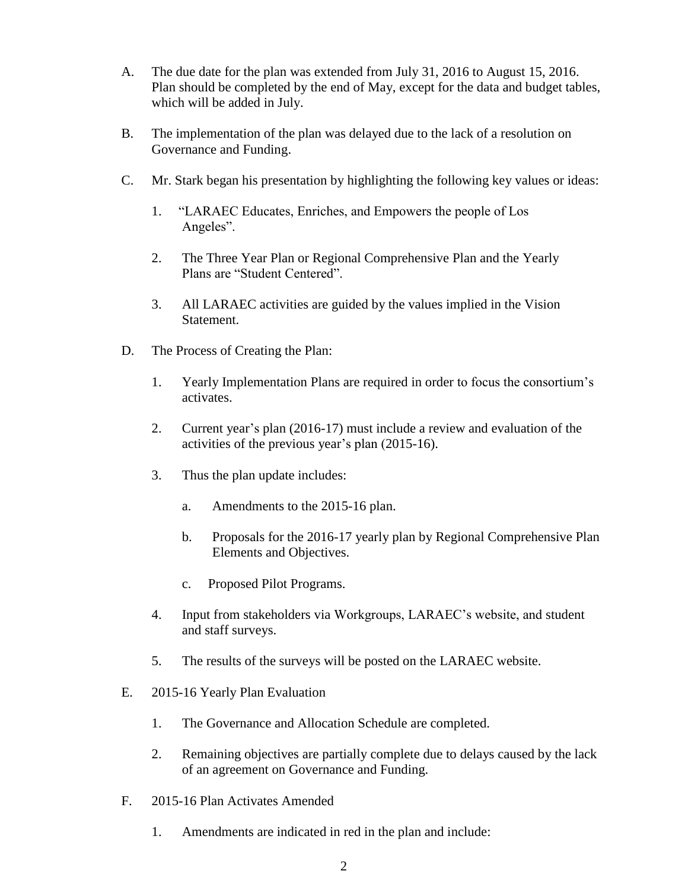- A. The due date for the plan was extended from July 31, 2016 to August 15, 2016. Plan should be completed by the end of May, except for the data and budget tables, which will be added in July.
- B. The implementation of the plan was delayed due to the lack of a resolution on Governance and Funding.
- C. Mr. Stark began his presentation by highlighting the following key values or ideas:
	- 1. "LARAEC Educates, Enriches, and Empowers the people of Los Angeles".
	- 2. The Three Year Plan or Regional Comprehensive Plan and the Yearly Plans are "Student Centered".
	- 3. All LARAEC activities are guided by the values implied in the Vision Statement.
- D. The Process of Creating the Plan:
	- 1. Yearly Implementation Plans are required in order to focus the consortium's activates.
	- 2. Current year's plan (2016-17) must include a review and evaluation of the activities of the previous year's plan (2015-16).
	- 3. Thus the plan update includes:
		- a. Amendments to the 2015-16 plan.
		- b. Proposals for the 2016-17 yearly plan by Regional Comprehensive Plan Elements and Objectives.
		- c. Proposed Pilot Programs.
	- 4. Input from stakeholders via Workgroups, LARAEC's website, and student and staff surveys.
	- 5. The results of the surveys will be posted on the LARAEC website.
- E. 2015-16 Yearly Plan Evaluation
	- 1. The Governance and Allocation Schedule are completed.
	- 2. Remaining objectives are partially complete due to delays caused by the lack of an agreement on Governance and Funding.
- F. 2015-16 Plan Activates Amended
	- 1. Amendments are indicated in red in the plan and include: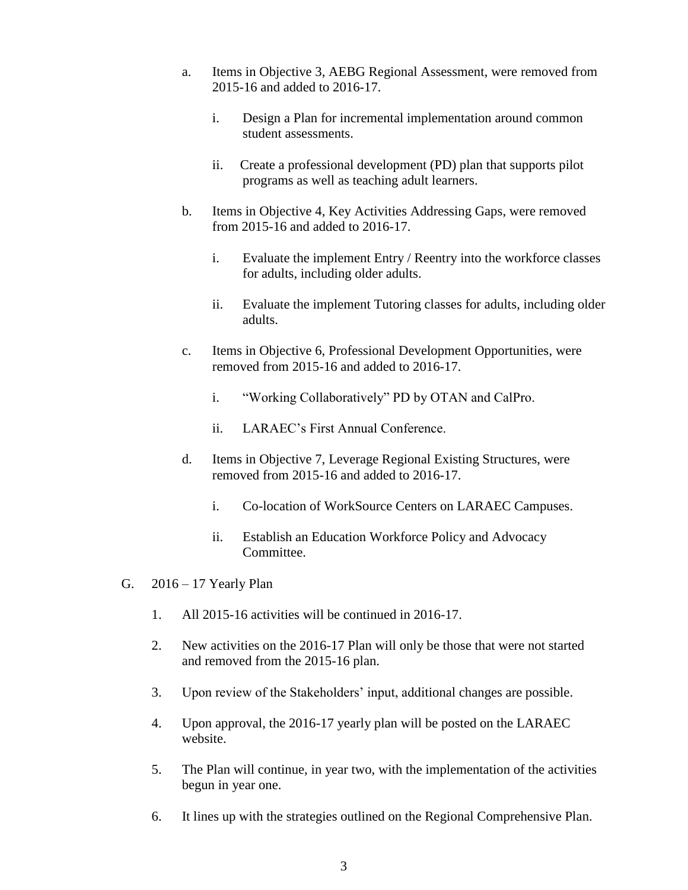- a. Items in Objective 3, AEBG Regional Assessment, were removed from 2015-16 and added to 2016-17.
	- i. Design a Plan for incremental implementation around common student assessments.
	- ii. Create a professional development (PD) plan that supports pilot programs as well as teaching adult learners.
- b. Items in Objective 4, Key Activities Addressing Gaps, were removed from 2015-16 and added to 2016-17.
	- i. Evaluate the implement Entry / Reentry into the workforce classes for adults, including older adults.
	- ii. Evaluate the implement Tutoring classes for adults, including older adults.
- c. Items in Objective 6, Professional Development Opportunities, were removed from 2015-16 and added to 2016-17.
	- i. "Working Collaboratively" PD by OTAN and CalPro.
	- ii. LARAEC's First Annual Conference.
- d. Items in Objective 7, Leverage Regional Existing Structures, were removed from 2015-16 and added to 2016-17.
	- i. Co-location of WorkSource Centers on LARAEC Campuses.
	- ii. Establish an Education Workforce Policy and Advocacy Committee.
- G. 2016 17 Yearly Plan
	- 1. All 2015-16 activities will be continued in 2016-17.
	- 2. New activities on the 2016-17 Plan will only be those that were not started and removed from the 2015-16 plan.
	- 3. Upon review of the Stakeholders' input, additional changes are possible.
	- 4. Upon approval, the 2016-17 yearly plan will be posted on the LARAEC website.
	- 5. The Plan will continue, in year two, with the implementation of the activities begun in year one.
	- 6. It lines up with the strategies outlined on the Regional Comprehensive Plan.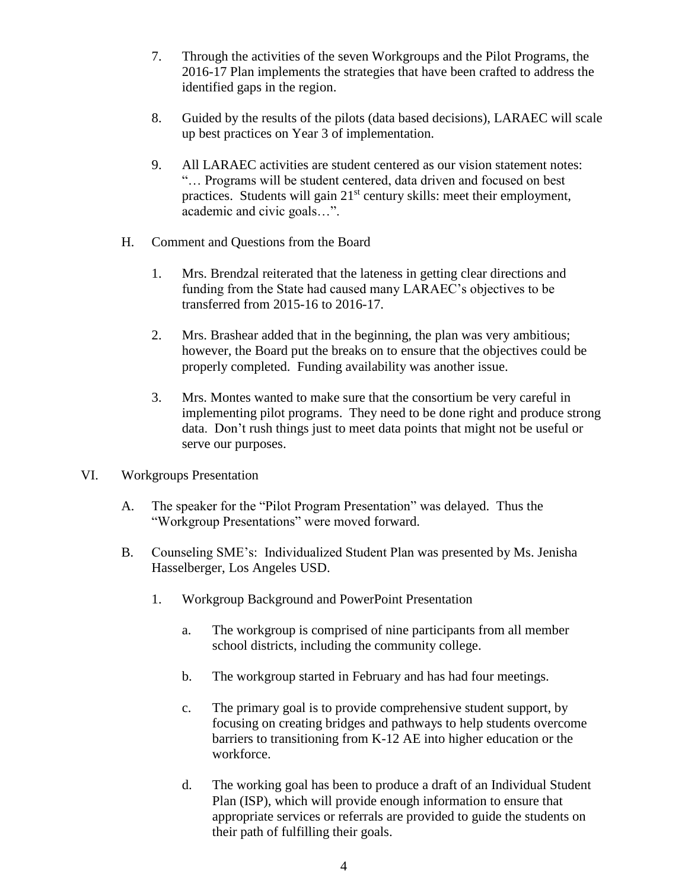- 7. Through the activities of the seven Workgroups and the Pilot Programs, the 2016-17 Plan implements the strategies that have been crafted to address the identified gaps in the region.
- 8. Guided by the results of the pilots (data based decisions), LARAEC will scale up best practices on Year 3 of implementation.
- 9. All LARAEC activities are student centered as our vision statement notes: "… Programs will be student centered, data driven and focused on best practices. Students will gain 21<sup>st</sup> century skills: meet their employment, academic and civic goals…".
- H. Comment and Questions from the Board
	- 1. Mrs. Brendzal reiterated that the lateness in getting clear directions and funding from the State had caused many LARAEC's objectives to be transferred from 2015-16 to 2016-17.
	- 2. Mrs. Brashear added that in the beginning, the plan was very ambitious; however, the Board put the breaks on to ensure that the objectives could be properly completed. Funding availability was another issue.
	- 3. Mrs. Montes wanted to make sure that the consortium be very careful in implementing pilot programs. They need to be done right and produce strong data. Don't rush things just to meet data points that might not be useful or serve our purposes.
- VI. Workgroups Presentation
	- A. The speaker for the "Pilot Program Presentation" was delayed. Thus the "Workgroup Presentations" were moved forward.
	- B. Counseling SME's: Individualized Student Plan was presented by Ms. Jenisha Hasselberger, Los Angeles USD.
		- 1. Workgroup Background and PowerPoint Presentation
			- a. The workgroup is comprised of nine participants from all member school districts, including the community college.
			- b. The workgroup started in February and has had four meetings.
			- c. The primary goal is to provide comprehensive student support, by focusing on creating bridges and pathways to help students overcome barriers to transitioning from K-12 AE into higher education or the workforce.
			- d. The working goal has been to produce a draft of an Individual Student Plan (ISP), which will provide enough information to ensure that appropriate services or referrals are provided to guide the students on their path of fulfilling their goals.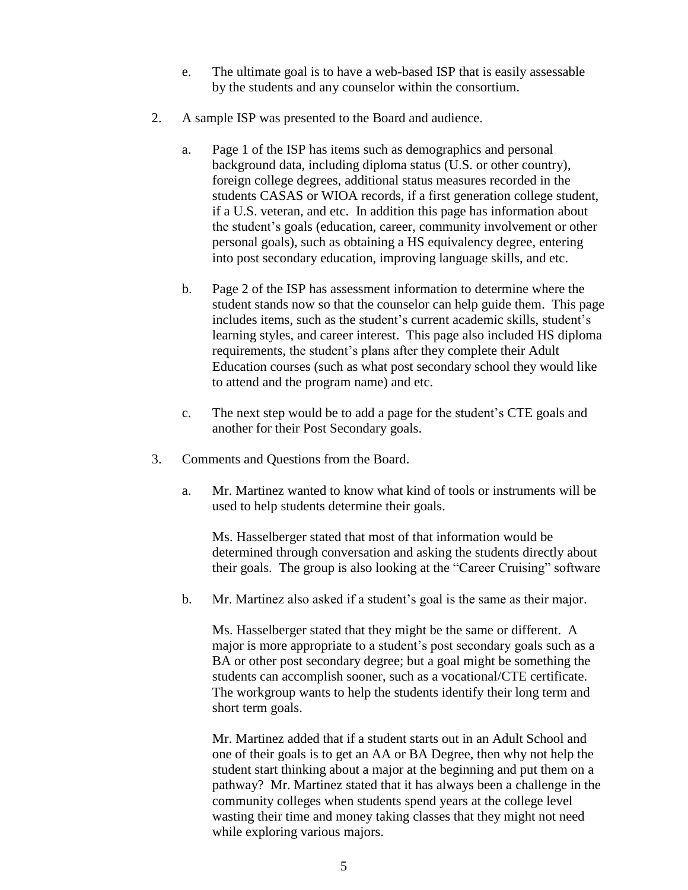- e. The ultimate goal is to have a web-based ISP that is easily assessable by the students and any counselor within the consortium.
- 2. A sample ISP was presented to the Board and audience.
	- a. Page 1 of the ISP has items such as demographics and personal background data, including diploma status (U.S. or other country), foreign college degrees, additional status measures recorded in the students CASAS or WIOA records, if a first generation college student, if a U.S. veteran, and etc. In addition this page has information about the student's goals (education, career, community involvement or other personal goals), such as obtaining a HS equivalency degree, entering into post secondary education, improving language skills, and etc.
	- b. Page 2 of the ISP has assessment information to determine where the student stands now so that the counselor can help guide them. This page includes items, such as the student's current academic skills, student's learning styles, and career interest. This page also included HS diploma requirements, the student's plans after they complete their Adult Education courses (such as what post secondary school they would like to attend and the program name) and etc.
	- c. The next step would be to add a page for the student's CTE goals and another for their Post Secondary goals.
- 3. Comments and Questions from the Board.
	- a. Mr. Martinez wanted to know what kind of tools or instruments will be used to help students determine their goals.

Ms. Hasselberger stated that most of that information would be determined through conversation and asking the students directly about their goals. The group is also looking at the "Career Cruising" software

b. Mr. Martinez also asked if a student's goal is the same as their major.

Ms. Hasselberger stated that they might be the same or different. A major is more appropriate to a student's post secondary goals such as a BA or other post secondary degree; but a goal might be something the students can accomplish sooner, such as a vocational/CTE certificate. The workgroup wants to help the students identify their long term and short term goals.

Mr. Martinez added that if a student starts out in an Adult School and one of their goals is to get an AA or BA Degree, then why not help the student start thinking about a major at the beginning and put them on a pathway? Mr. Martinez stated that it has always been a challenge in the community colleges when students spend years at the college level wasting their time and money taking classes that they might not need while exploring various majors.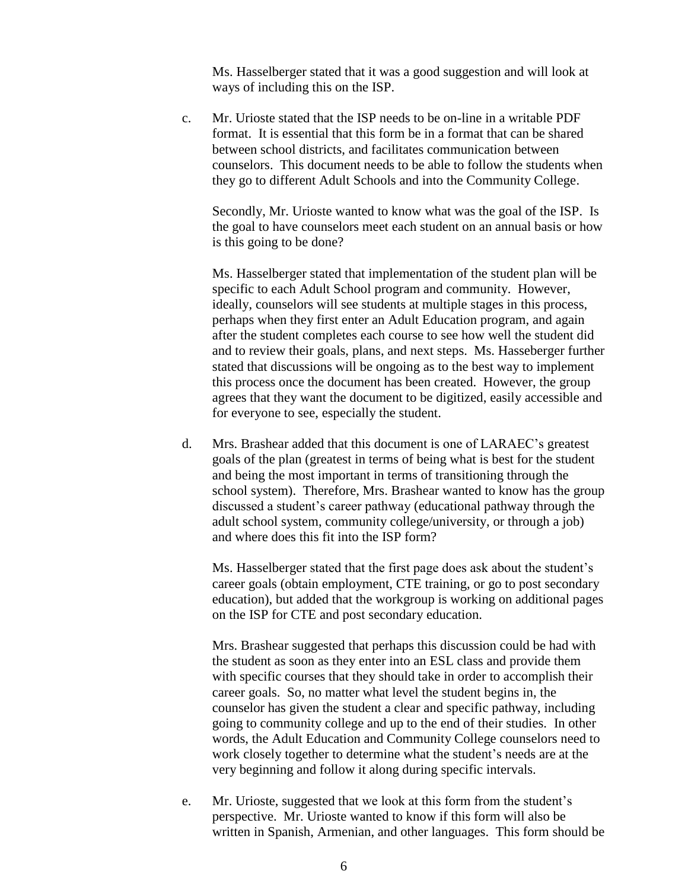Ms. Hasselberger stated that it was a good suggestion and will look at ways of including this on the ISP.

c. Mr. Urioste stated that the ISP needs to be on-line in a writable PDF format. It is essential that this form be in a format that can be shared between school districts, and facilitates communication between counselors. This document needs to be able to follow the students when they go to different Adult Schools and into the Community College.

Secondly, Mr. Urioste wanted to know what was the goal of the ISP. Is the goal to have counselors meet each student on an annual basis or how is this going to be done?

Ms. Hasselberger stated that implementation of the student plan will be specific to each Adult School program and community. However, ideally, counselors will see students at multiple stages in this process, perhaps when they first enter an Adult Education program, and again after the student completes each course to see how well the student did and to review their goals, plans, and next steps. Ms. Hasseberger further stated that discussions will be ongoing as to the best way to implement this process once the document has been created. However, the group agrees that they want the document to be digitized, easily accessible and for everyone to see, especially the student.

d. Mrs. Brashear added that this document is one of LARAEC's greatest goals of the plan (greatest in terms of being what is best for the student and being the most important in terms of transitioning through the school system). Therefore, Mrs. Brashear wanted to know has the group discussed a student's career pathway (educational pathway through the adult school system, community college/university, or through a job) and where does this fit into the ISP form?

Ms. Hasselberger stated that the first page does ask about the student's career goals (obtain employment, CTE training, or go to post secondary education), but added that the workgroup is working on additional pages on the ISP for CTE and post secondary education.

Mrs. Brashear suggested that perhaps this discussion could be had with the student as soon as they enter into an ESL class and provide them with specific courses that they should take in order to accomplish their career goals. So, no matter what level the student begins in, the counselor has given the student a clear and specific pathway, including going to community college and up to the end of their studies. In other words, the Adult Education and Community College counselors need to work closely together to determine what the student's needs are at the very beginning and follow it along during specific intervals.

e. Mr. Urioste, suggested that we look at this form from the student's perspective. Mr. Urioste wanted to know if this form will also be written in Spanish, Armenian, and other languages. This form should be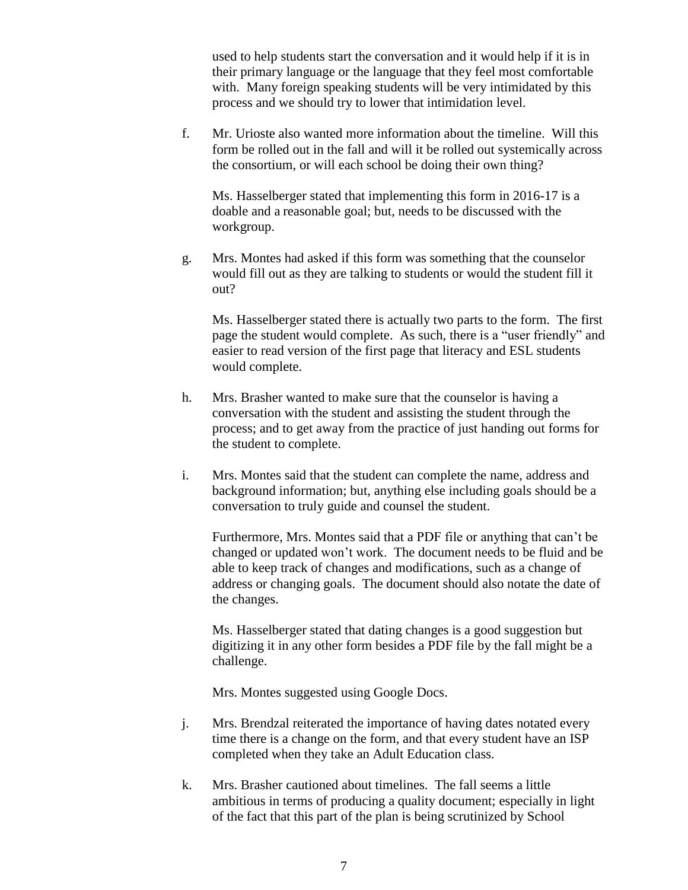used to help students start the conversation and it would help if it is in their primary language or the language that they feel most comfortable with. Many foreign speaking students will be very intimidated by this process and we should try to lower that intimidation level.

f. Mr. Urioste also wanted more information about the timeline. Will this form be rolled out in the fall and will it be rolled out systemically across the consortium, or will each school be doing their own thing?

Ms. Hasselberger stated that implementing this form in 2016-17 is a doable and a reasonable goal; but, needs to be discussed with the workgroup.

g. Mrs. Montes had asked if this form was something that the counselor would fill out as they are talking to students or would the student fill it out?

Ms. Hasselberger stated there is actually two parts to the form. The first page the student would complete. As such, there is a "user friendly" and easier to read version of the first page that literacy and ESL students would complete.

- h. Mrs. Brasher wanted to make sure that the counselor is having a conversation with the student and assisting the student through the process; and to get away from the practice of just handing out forms for the student to complete.
- i. Mrs. Montes said that the student can complete the name, address and background information; but, anything else including goals should be a conversation to truly guide and counsel the student.

Furthermore, Mrs. Montes said that a PDF file or anything that can't be changed or updated won't work. The document needs to be fluid and be able to keep track of changes and modifications, such as a change of address or changing goals. The document should also notate the date of the changes.

Ms. Hasselberger stated that dating changes is a good suggestion but digitizing it in any other form besides a PDF file by the fall might be a challenge.

Mrs. Montes suggested using Google Docs.

- j. Mrs. Brendzal reiterated the importance of having dates notated every time there is a change on the form, and that every student have an ISP completed when they take an Adult Education class.
- k. Mrs. Brasher cautioned about timelines. The fall seems a little ambitious in terms of producing a quality document; especially in light of the fact that this part of the plan is being scrutinized by School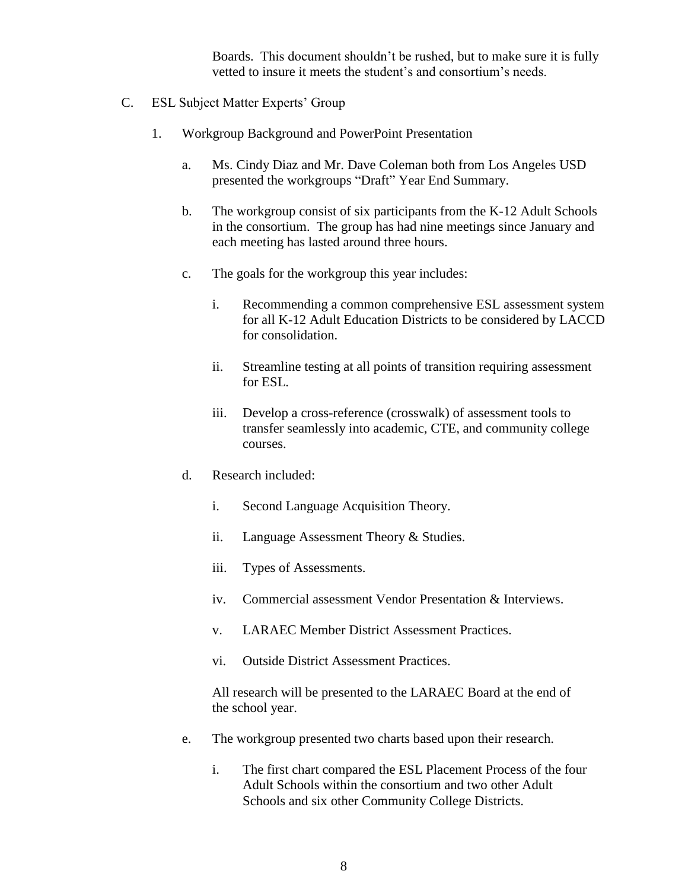Boards. This document shouldn't be rushed, but to make sure it is fully vetted to insure it meets the student's and consortium's needs.

- C. ESL Subject Matter Experts' Group
	- 1. Workgroup Background and PowerPoint Presentation
		- a. Ms. Cindy Diaz and Mr. Dave Coleman both from Los Angeles USD presented the workgroups "Draft" Year End Summary.
		- b. The workgroup consist of six participants from the K-12 Adult Schools in the consortium. The group has had nine meetings since January and each meeting has lasted around three hours.
		- c. The goals for the workgroup this year includes:
			- i. Recommending a common comprehensive ESL assessment system for all K-12 Adult Education Districts to be considered by LACCD for consolidation.
			- ii. Streamline testing at all points of transition requiring assessment for ESL.
			- iii. Develop a cross-reference (crosswalk) of assessment tools to transfer seamlessly into academic, CTE, and community college courses.
		- d. Research included:
			- i. Second Language Acquisition Theory.
			- ii. Language Assessment Theory & Studies.
			- iii. Types of Assessments.
			- iv. Commercial assessment Vendor Presentation & Interviews.
			- v. LARAEC Member District Assessment Practices.
			- vi. Outside District Assessment Practices.

All research will be presented to the LARAEC Board at the end of the school year.

- e. The workgroup presented two charts based upon their research.
	- i. The first chart compared the ESL Placement Process of the four Adult Schools within the consortium and two other Adult Schools and six other Community College Districts.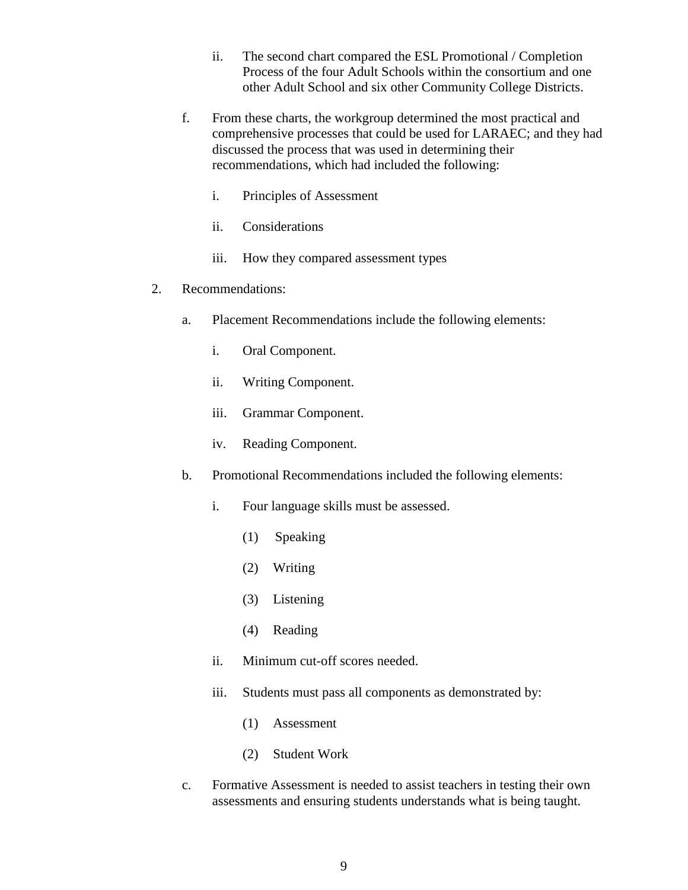- ii. The second chart compared the ESL Promotional / Completion Process of the four Adult Schools within the consortium and one other Adult School and six other Community College Districts.
- f. From these charts, the workgroup determined the most practical and comprehensive processes that could be used for LARAEC; and they had discussed the process that was used in determining their recommendations, which had included the following:
	- i. Principles of Assessment
	- ii. Considerations
	- iii. How they compared assessment types
- 2. Recommendations:
	- a. Placement Recommendations include the following elements:
		- i. Oral Component.
		- ii. Writing Component.
		- iii. Grammar Component.
		- iv. Reading Component.
	- b. Promotional Recommendations included the following elements:
		- i. Four language skills must be assessed.
			- (1) Speaking
			- (2) Writing
			- (3) Listening
			- (4) Reading
		- ii. Minimum cut-off scores needed.
		- iii. Students must pass all components as demonstrated by:
			- (1) Assessment
			- (2) Student Work
	- c. Formative Assessment is needed to assist teachers in testing their own assessments and ensuring students understands what is being taught.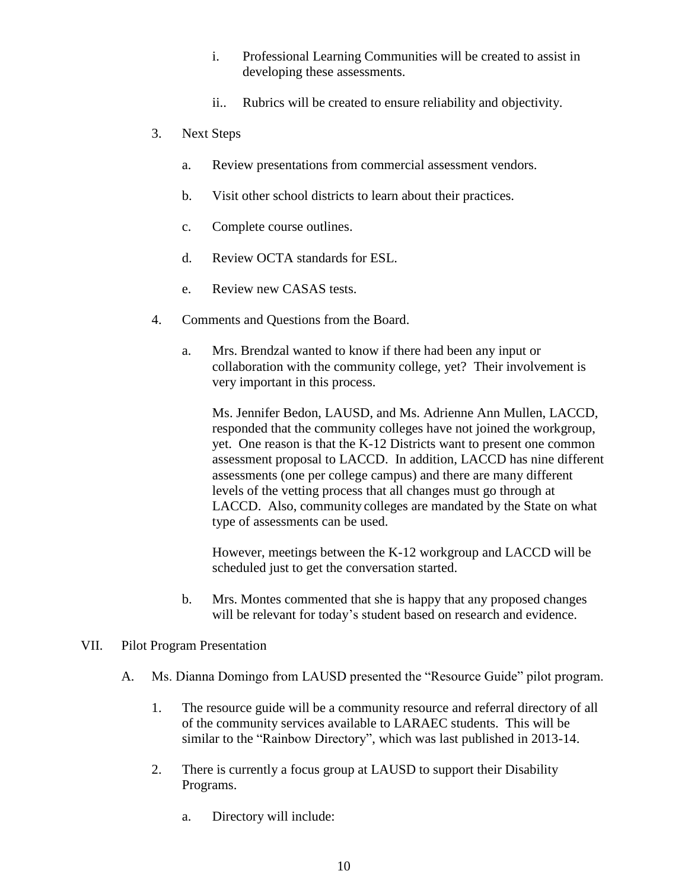- i. Professional Learning Communities will be created to assist in developing these assessments.
- ii.. Rubrics will be created to ensure reliability and objectivity.
- 3. Next Steps
	- a. Review presentations from commercial assessment vendors.
	- b. Visit other school districts to learn about their practices.
	- c. Complete course outlines.
	- d. Review OCTA standards for ESL.
	- e. Review new CASAS tests.
- 4. Comments and Questions from the Board.
	- a. Mrs. Brendzal wanted to know if there had been any input or collaboration with the community college, yet? Their involvement is very important in this process.

Ms. Jennifer Bedon, LAUSD, and Ms. Adrienne Ann Mullen, LACCD, responded that the community colleges have not joined the workgroup, yet. One reason is that the K-12 Districts want to present one common assessment proposal to LACCD. In addition, LACCD has nine different assessments (one per college campus) and there are many different levels of the vetting process that all changes must go through at LACCD. Also, community colleges are mandated by the State on what type of assessments can be used.

However, meetings between the K-12 workgroup and LACCD will be scheduled just to get the conversation started.

b. Mrs. Montes commented that she is happy that any proposed changes will be relevant for today's student based on research and evidence.

## VII. Pilot Program Presentation

- A. Ms. Dianna Domingo from LAUSD presented the "Resource Guide" pilot program.
	- 1. The resource guide will be a community resource and referral directory of all of the community services available to LARAEC students. This will be similar to the "Rainbow Directory", which was last published in 2013-14.
	- 2. There is currently a focus group at LAUSD to support their Disability Programs.
		- a. Directory will include: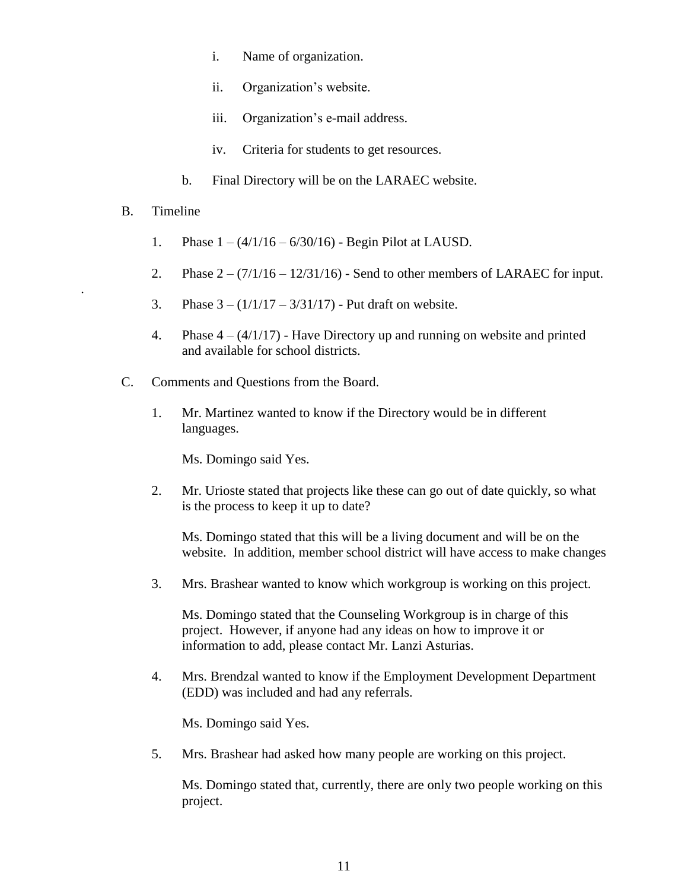- i. Name of organization.
- ii. Organization's website.
- iii. Organization's e-mail address.
- iv. Criteria for students to get resources.
- b. Final Directory will be on the LARAEC website.

## B. Timeline

.

- 1. Phase  $1 (4/1/16 6/30/16)$  Begin Pilot at LAUSD.
- 2. Phase  $2 (7/1/16 12/31/16)$  Send to other members of LARAEC for input.
- 3. Phase  $3 (1/1/17 3/31/17)$  Put draft on website.
- 4. Phase  $4 (4/1/17)$  Have Directory up and running on website and printed and available for school districts.
- C. Comments and Questions from the Board.
	- 1. Mr. Martinez wanted to know if the Directory would be in different languages.

Ms. Domingo said Yes.

2. Mr. Urioste stated that projects like these can go out of date quickly, so what is the process to keep it up to date?

Ms. Domingo stated that this will be a living document and will be on the website. In addition, member school district will have access to make changes

3. Mrs. Brashear wanted to know which workgroup is working on this project.

Ms. Domingo stated that the Counseling Workgroup is in charge of this project. However, if anyone had any ideas on how to improve it or information to add, please contact Mr. Lanzi Asturias.

4. Mrs. Brendzal wanted to know if the Employment Development Department (EDD) was included and had any referrals.

Ms. Domingo said Yes.

5. Mrs. Brashear had asked how many people are working on this project.

Ms. Domingo stated that, currently, there are only two people working on this project.